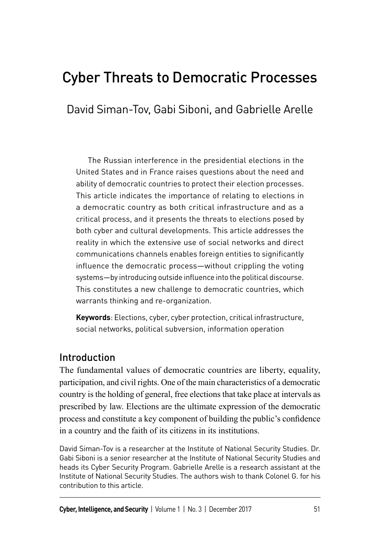# Cyber Threats to Democratic Processes

David Siman-Tov, Gabi Siboni, and Gabrielle Arelle

The Russian interference in the presidential elections in the United States and in France raises questions about the need and ability of democratic countries to protect their election processes. This article indicates the importance of relating to elections in a democratic country as both critical infrastructure and as a critical process, and it presents the threats to elections posed by both cyber and cultural developments. This article addresses the reality in which the extensive use of social networks and direct communications channels enables foreign entities to significantly influence the democratic process—without crippling the voting systems—by introducing outside influence into the political discourse. This constitutes a new challenge to democratic countries, which warrants thinking and re-organization.

**Keywords**: Elections, cyber, cyber protection, critical infrastructure, social networks, political subversion, information operation

### **Introduction**

The fundamental values of democratic countries are liberty, equality, participation, and civil rights. One of the main characteristics of a democratic country is the holding of general, free elections that take place at intervals as prescribed by law. Elections are the ultimate expression of the democratic process and constitute a key component of building the public's confidence in a country and the faith of its citizens in its institutions.

David Siman-Tov is a researcher at the Institute of National Security Studies. Dr. Gabi Siboni is a senior researcher at the Institute of National Security Studies and heads its Cyber Security Program. Gabrielle Arelle is a research assistant at the Institute of National Security Studies. The authors wish to thank Colonel G. for his contribution to this article.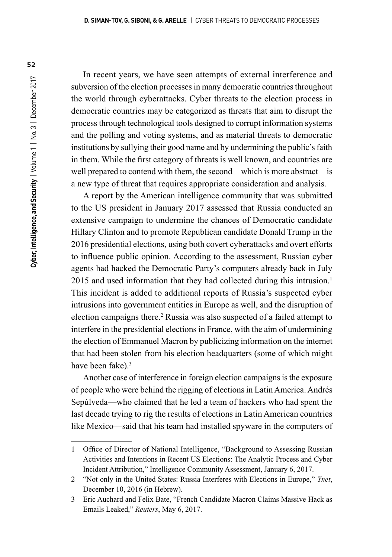In recent years, we have seen attempts of external interference and subversion of the election processes in many democratic countries throughout the world through cyberattacks. Cyber threats to the election process in democratic countries may be categorized as threats that aim to disrupt the process through technological tools designed to corrupt information systems and the polling and voting systems, and as material threats to democratic institutions by sullying their good name and by undermining the public's faith in them. While the first category of threats is well known, and countries are well prepared to contend with them, the second—which is more abstract—is a new type of threat that requires appropriate consideration and analysis.

A report by the American intelligence community that was submitted to the US president in January 2017 assessed that Russia conducted an extensive campaign to undermine the chances of Democratic candidate Hillary Clinton and to promote Republican candidate Donald Trump in the 2016 presidential elections, using both covert cyberattacks and overt efforts to influence public opinion. According to the assessment, Russian cyber agents had hacked the Democratic Party's computers already back in July 2015 and used information that they had collected during this intrusion.<sup>1</sup> This incident is added to additional reports of Russia's suspected cyber intrusions into government entities in Europe as well, and the disruption of election campaigns there.<sup>2</sup> Russia was also suspected of a failed attempt to interfere in the presidential elections in France, with the aim of undermining the election of Emmanuel Macron by publicizing information on the internet that had been stolen from his election headquarters (some of which might have been fake).<sup>3</sup>

Another case of interference in foreign election campaigns is the exposure of people who were behind the rigging of elections in Latin America. Andrés Sepúlveda—who claimed that he led a team of hackers who had spent the last decade trying to rig the results of elections in Latin American countries like Mexico—said that his team had installed spyware in the computers of

<sup>1</sup> Office of Director of National Intelligence, "Background to Assessing Russian Activities and Intentions in Recent US Elections: The Analytic Process and Cyber Incident Attribution," Intelligence Community Assessment, January 6, 2017.

<sup>2</sup> "Not only in the United States: Russia Interferes with Elections in Europe," *Ynet*, December 10, 2016 (in Hebrew).

<sup>3</sup> Eric Auchard and Felix Bate, "French Candidate Macron Claims Massive Hack as Emails Leaked," *Reuters*, May 6, 2017.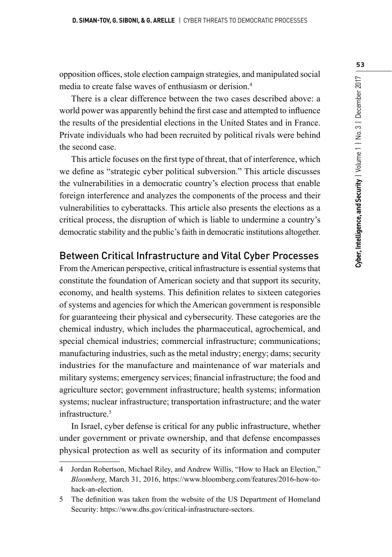opposition offices, stole election campaign strategies, and manipulated social media to create false waves of enthusiasm or derision.4

There is a clear difference between the two cases described above: a world power was apparently behind the first case and attempted to influence the results of the presidential elections in the United States and in France. Private individuals who had been recruited by political rivals were behind the second case.

This article focuses on the first type of threat, that of interference, which we define as "strategic cyber political subversion." This article discusses the vulnerabilities in a democratic country's election process that enable foreign interference and analyzes the components of the process and their vulnerabilities to cyberattacks. This article also presents the elections as a critical process, the disruption of which is liable to undermine a country's democratic stability and the public's faith in democratic institutions altogether.

# Between Critical Infrastructure and Vital Cyber Processes

From the American perspective, critical infrastructure is essential systems that constitute the foundation of American society and that support its security, economy, and health systems. This definition relates to sixteen categories of systems and agencies for which the American government is responsible for guaranteeing their physical and cybersecurity. These categories are the chemical industry, which includes the pharmaceutical, agrochemical, and special chemical industries; commercial infrastructure; communications; manufacturing industries, such as the metal industry; energy; dams; security industries for the manufacture and maintenance of war materials and military systems; emergency services; financial infrastructure; the food and agriculture sector; government infrastructure; health systems; information systems; nuclear infrastructure; transportation infrastructure; and the water infrastructure.<sup>5</sup>

In Israel, cyber defense is critical for any public infrastructure, whether under government or private ownership, and that defense encompasses physical protection as well as security of its information and computer

<sup>4</sup> Jordan Robertson, Michael Riley, and Andrew Willis, "How to Hack an Election," *Bloomberg*, March 31, 2016, https://www.bloomberg.com/features/2016-how-tohack-an-election.

<sup>5</sup> The definition was taken from the website of the US Department of Homeland Security: https://www.dhs.gov/critical-infrastructure-sectors.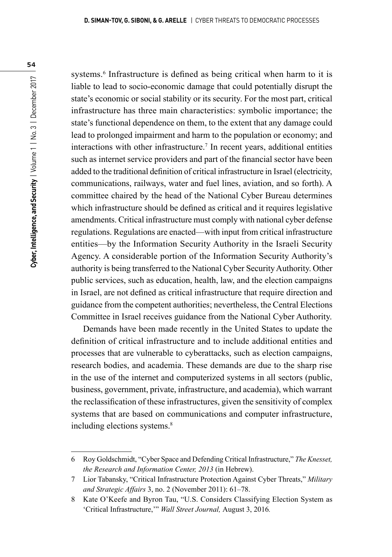systems.<sup>6</sup> Infrastructure is defined as being critical when harm to it is liable to lead to socio-economic damage that could potentially disrupt the state's economic or social stability or its security. For the most part, critical infrastructure has three main characteristics: symbolic importance; the state's functional dependence on them, to the extent that any damage could lead to prolonged impairment and harm to the population or economy; and interactions with other infrastructure.7 In recent years, additional entities such as internet service providers and part of the financial sector have been added to the traditional definition of critical infrastructure in Israel (electricity, communications, railways, water and fuel lines, aviation, and so forth). A committee chaired by the head of the National Cyber Bureau determines which infrastructure should be defined as critical and it requires legislative amendments. Critical infrastructure must comply with national cyber defense regulations. Regulations are enacted—with input from critical infrastructure entities—by the Information Security Authority in the Israeli Security Agency. A considerable portion of the Information Security Authority's authority is being transferred to the National Cyber Security Authority. Other public services, such as education, health, law, and the election campaigns in Israel, are not defined as critical infrastructure that require direction and guidance from the competent authorities; nevertheless, the Central Elections Committee in Israel receives guidance from the National Cyber Authority.

Demands have been made recently in the United States to update the definition of critical infrastructure and to include additional entities and processes that are vulnerable to cyberattacks, such as election campaigns, research bodies, and academia. These demands are due to the sharp rise in the use of the internet and computerized systems in all sectors (public, business, government, private, infrastructure, and academia), which warrant the reclassification of these infrastructures, given the sensitivity of complex systems that are based on communications and computer infrastructure, including elections systems.<sup>8</sup>

<sup>6</sup> Roy Goldschmidt, "Cyber Space and Defending Critical Infrastructure," *The Knesset, the Research and Information Center, 2013* (in Hebrew).

<sup>7</sup> Lior Tabansky, "Critical Infrastructure Protection Against Cyber Threats," *Military and Strategic Affairs* 3, no. 2 (November 2011): 61–78.

<sup>8</sup> Kate O'Keefe and Byron Tau, "U.S. Considers Classifying Election System as 'Critical Infrastructure,'" *Wall Street Journal,* August 3, 2016*.*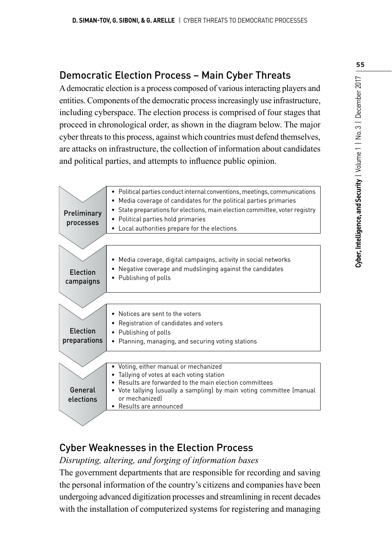# Democratic Election Process – Main Cyber Threats

A democratic election is a process composed of various interacting players and entities. Components of the democratic process increasingly use infrastructure, including cyberspace. The election process is comprised of four stages that proceed in chronological order, as shown in the diagram below. The major cyber threats to this process, against which countries must defend themselves, are attacks on infrastructure, the collection of information about candidates and political parties, and attempts to influence public opinion.



# Cyber Weaknesses in the Election Process

*Disrupting, altering, and forging of information bases*

The government departments that are responsible for recording and saving the personal information of the country's citizens and companies have been undergoing advanced digitization processes and streamlining in recent decades with the installation of computerized systems for registering and managing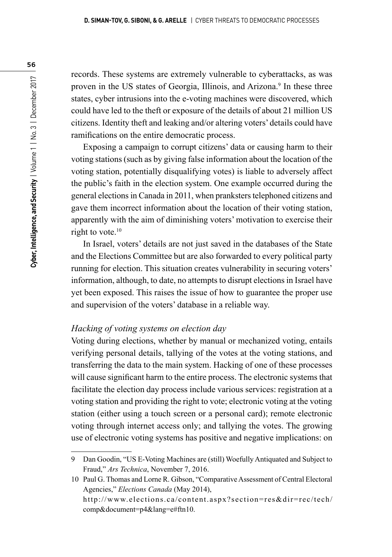records. These systems are extremely vulnerable to cyberattacks, as was proven in the US states of Georgia, Illinois, and Arizona.<sup>9</sup> In these three states, cyber intrusions into the e-voting machines were discovered, which could have led to the theft or exposure of the details of about 21 million US citizens. Identity theft and leaking and/or altering voters' details could have ramifications on the entire democratic process.

Exposing a campaign to corrupt citizens' data or causing harm to their voting stations (such as by giving false information about the location of the voting station, potentially disqualifying votes) is liable to adversely affect the public's faith in the election system. One example occurred during the general elections in Canada in 2011, when pranksters telephoned citizens and gave them incorrect information about the location of their voting station, apparently with the aim of diminishing voters' motivation to exercise their right to vote.<sup>10</sup>

In Israel, voters' details are not just saved in the databases of the State and the Elections Committee but are also forwarded to every political party running for election. This situation creates vulnerability in securing voters' information, although, to date, no attempts to disrupt elections in Israel have yet been exposed. This raises the issue of how to guarantee the proper use and supervision of the voters' database in a reliable way.

#### *Hacking of voting systems on election day*

Voting during elections, whether by manual or mechanized voting, entails verifying personal details, tallying of the votes at the voting stations, and transferring the data to the main system. Hacking of one of these processes will cause significant harm to the entire process. The electronic systems that facilitate the election day process include various services: registration at a voting station and providing the right to vote; electronic voting at the voting station (either using a touch screen or a personal card); remote electronic voting through internet access only; and tallying the votes. The growing use of electronic voting systems has positive and negative implications: on

<sup>9</sup> Dan Goodin, "US E-Voting Machines are (still) Woefully Antiquated and Subject to Fraud," *Ars Technica*, November 7, 2016.

<sup>10</sup> Paul G. Thomas and Lorne R. Gibson, "Comparative Assessment of Central Electoral Agencies," *Elections Canada* (May 2014),

http://www.elections.ca/content.aspx?section=res&dir=rec/tech/ comp&document=p4&lang=e#ftn10.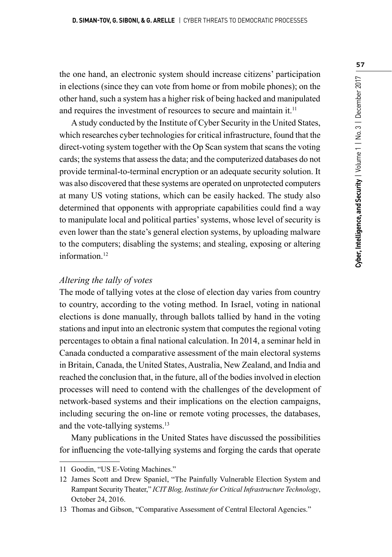the one hand, an electronic system should increase citizens' participation in elections (since they can vote from home or from mobile phones); on the other hand, such a system has a higher risk of being hacked and manipulated and requires the investment of resources to secure and maintain it.<sup>11</sup>

A study conducted by the Institute of Cyber Security in the United States, which researches cyber technologies for critical infrastructure, found that the direct-voting system together with the Op Scan system that scans the voting cards; the systems that assess the data; and the computerized databases do not provide terminal-to-terminal encryption or an adequate security solution. It was also discovered that these systems are operated on unprotected computers at many US voting stations, which can be easily hacked. The study also determined that opponents with appropriate capabilities could find a way to manipulate local and political parties' systems, whose level of security is even lower than the state's general election systems, by uploading malware to the computers; disabling the systems; and stealing, exposing or altering information<sup>12</sup>

#### *Altering the tally of votes*

The mode of tallying votes at the close of election day varies from country to country, according to the voting method. In Israel, voting in national elections is done manually, through ballots tallied by hand in the voting stations and input into an electronic system that computes the regional voting percentages to obtain a final national calculation. In 2014, a seminar held in Canada conducted a comparative assessment of the main electoral systems in Britain, Canada, the United States, Australia, New Zealand, and India and reached the conclusion that, in the future, all of the bodies involved in election processes will need to contend with the challenges of the development of network-based systems and their implications on the election campaigns, including securing the on-line or remote voting processes, the databases, and the vote-tallying systems.<sup>13</sup>

Many publications in the United States have discussed the possibilities for influencing the vote-tallying systems and forging the cards that operate

<sup>11</sup> Goodin, "US E-Voting Machines."

<sup>12</sup> James Scott and Drew Spaniel, "The Painfully Vulnerable Election System and Rampant Security Theater," *ICIT Blog, Institute for Critical Infrastructure Technology*, October 24, 2016.

<sup>13</sup> Thomas and Gibson, "Comparative Assessment of Central Electoral Agencies."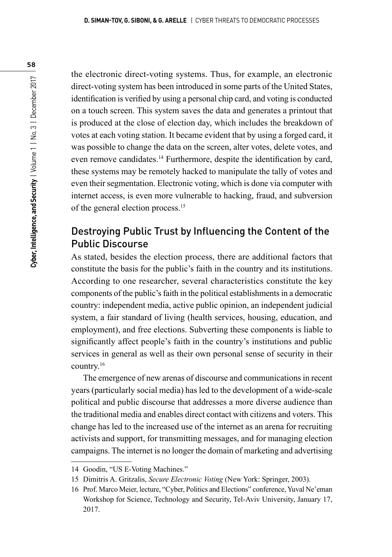the electronic direct-voting systems. Thus, for example, an electronic direct-voting system has been introduced in some parts of the United States, identification is verified by using a personal chip card, and voting is conducted on a touch screen. This system saves the data and generates a printout that is produced at the close of election day, which includes the breakdown of votes at each voting station. It became evident that by using a forged card, it was possible to change the data on the screen, alter votes, delete votes, and even remove candidates.14 Furthermore, despite the identification by card, these systems may be remotely hacked to manipulate the tally of votes and even their segmentation. Electronic voting, which is done via computer with internet access, is even more vulnerable to hacking, fraud, and subversion of the general election process.15

# Destroying Public Trust by Influencing the Content of the Public Discourse

As stated, besides the election process, there are additional factors that constitute the basis for the public's faith in the country and its institutions. According to one researcher, several characteristics constitute the key components of the public's faith in the political establishments in a democratic country: independent media, active public opinion, an independent judicial system, a fair standard of living (health services, housing, education, and employment), and free elections. Subverting these components is liable to significantly affect people's faith in the country's institutions and public services in general as well as their own personal sense of security in their country.16

The emergence of new arenas of discourse and communications in recent years (particularly social media) has led to the development of a wide-scale political and public discourse that addresses a more diverse audience than the traditional media and enables direct contact with citizens and voters. This change has led to the increased use of the internet as an arena for recruiting activists and support, for transmitting messages, and for managing election campaigns. The internet is no longer the domain of marketing and advertising

<sup>14</sup> Goodin, "US E-Voting Machines."

<sup>15</sup> Dimitris A. Gritzalis, *Secure Electronic Voting* (New York: Springer, 2003).

<sup>16</sup> Prof. Marco Meier, lecture, "Cyber, Politics and Elections" conference, Yuval Ne'eman Workshop for Science, Technology and Security, Tel-Aviv University, January 17, 2017.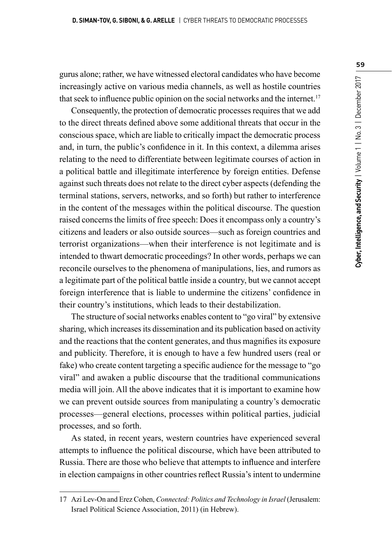gurus alone; rather, we have witnessed electoral candidates who have become increasingly active on various media channels, as well as hostile countries that seek to influence public opinion on the social networks and the internet.<sup>17</sup>

Consequently, the protection of democratic processes requires that we add to the direct threats defined above some additional threats that occur in the conscious space, which are liable to critically impact the democratic process and, in turn, the public's confidence in it. In this context, a dilemma arises relating to the need to differentiate between legitimate courses of action in a political battle and illegitimate interference by foreign entities. Defense against such threats does not relate to the direct cyber aspects (defending the terminal stations, servers, networks, and so forth) but rather to interference in the content of the messages within the political discourse. The question raised concerns the limits of free speech: Does it encompass only a country's citizens and leaders or also outside sources—such as foreign countries and terrorist organizations—when their interference is not legitimate and is intended to thwart democratic proceedings? In other words, perhaps we can reconcile ourselves to the phenomena of manipulations, lies, and rumors as a legitimate part of the political battle inside a country, but we cannot accept foreign interference that is liable to undermine the citizens' confidence in their country's institutions, which leads to their destabilization.

The structure of social networks enables content to "go viral" by extensive sharing, which increases its dissemination and its publication based on activity and the reactions that the content generates, and thus magnifies its exposure and publicity. Therefore, it is enough to have a few hundred users (real or fake) who create content targeting a specific audience for the message to "go viral" and awaken a public discourse that the traditional communications media will join. All the above indicates that it is important to examine how we can prevent outside sources from manipulating a country's democratic processes—general elections, processes within political parties, judicial processes, and so forth.

As stated, in recent years, western countries have experienced several attempts to influence the political discourse, which have been attributed to Russia. There are those who believe that attempts to influence and interfere in election campaigns in other countries reflect Russia's intent to undermine

<sup>17</sup> Azi Lev-On and Erez Cohen, *Connected: Politics and Technology in Israel* (Jerusalem: Israel Political Science Association, 2011) (in Hebrew).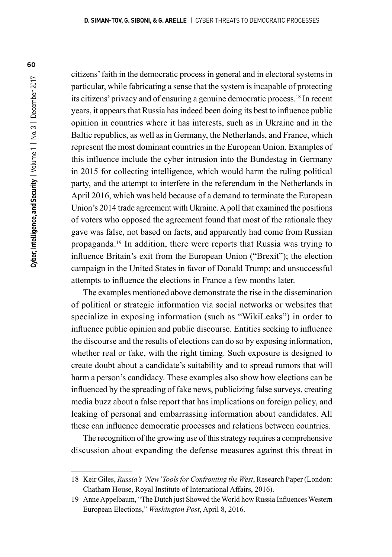citizens' faith in the democratic process in general and in electoral systems in particular, while fabricating a sense that the system is incapable of protecting its citizens' privacy and of ensuring a genuine democratic process.18 In recent years, it appears that Russia has indeed been doing its best to influence public opinion in countries where it has interests, such as in Ukraine and in the Baltic republics, as well as in Germany, the Netherlands, and France, which represent the most dominant countries in the European Union. Examples of this influence include the cyber intrusion into the Bundestag in Germany in 2015 for collecting intelligence, which would harm the ruling political party, and the attempt to interfere in the referendum in the Netherlands in April 2016, which was held because of a demand to terminate the European Union's 2014 trade agreement with Ukraine. A poll that examined the positions of voters who opposed the agreement found that most of the rationale they gave was false, not based on facts, and apparently had come from Russian propaganda.19 In addition, there were reports that Russia was trying to influence Britain's exit from the European Union ("Brexit"); the election campaign in the United States in favor of Donald Trump; and unsuccessful attempts to influence the elections in France a few months later.

The examples mentioned above demonstrate the rise in the dissemination of political or strategic information via social networks or websites that specialize in exposing information (such as "WikiLeaks") in order to influence public opinion and public discourse. Entities seeking to influence the discourse and the results of elections can do so by exposing information, whether real or fake, with the right timing. Such exposure is designed to create doubt about a candidate's suitability and to spread rumors that will harm a person's candidacy. These examples also show how elections can be influenced by the spreading of fake news, publicizing false surveys, creating media buzz about a false report that has implications on foreign policy, and leaking of personal and embarrassing information about candidates. All these can influence democratic processes and relations between countries.

The recognition of the growing use of this strategy requires a comprehensive discussion about expanding the defense measures against this threat in

<sup>18</sup> Keir Giles, *Russia's 'New' Tools for Confronting the West*, Research Paper (London: Chatham House, Royal Institute of International Affairs, 2016).

<sup>19</sup> Anne Appelbaum, "The Dutch just Showed the World how Russia Influences Western European Elections," *Washington Post*, April 8, 2016.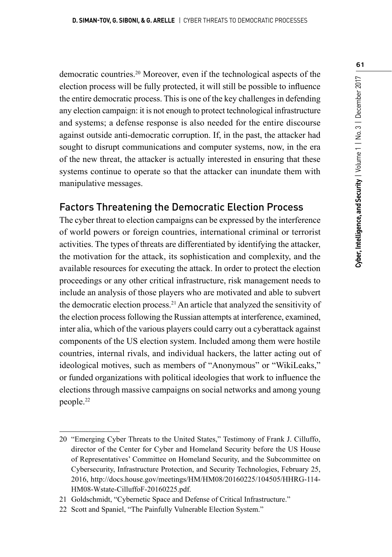democratic countries.20 Moreover, even if the technological aspects of the election process will be fully protected, it will still be possible to influence the entire democratic process. This is one of the key challenges in defending any election campaign: it is not enough to protect technological infrastructure and systems; a defense response is also needed for the entire discourse against outside anti-democratic corruption. If, in the past, the attacker had sought to disrupt communications and computer systems, now, in the era of the new threat, the attacker is actually interested in ensuring that these systems continue to operate so that the attacker can inundate them with manipulative messages.

### Factors Threatening the Democratic Election Process

The cyber threat to election campaigns can be expressed by the interference of world powers or foreign countries, international criminal or terrorist activities. The types of threats are differentiated by identifying the attacker, the motivation for the attack, its sophistication and complexity, and the available resources for executing the attack. In order to protect the election proceedings or any other critical infrastructure, risk management needs to include an analysis of those players who are motivated and able to subvert the democratic election process.21 An article that analyzed the sensitivity of the election process following the Russian attempts at interference, examined, inter alia, which of the various players could carry out a cyberattack against components of the US election system. Included among them were hostile countries, internal rivals, and individual hackers, the latter acting out of ideological motives, such as members of "Anonymous" or "WikiLeaks," or funded organizations with political ideologies that work to influence the elections through massive campaigns on social networks and among young people.22

<sup>20</sup> "Emerging Cyber Threats to the United States," Testimony of Frank J. Cilluffo, director of the Center for Cyber and Homeland Security before the US House of Representatives' Committee on Homeland Security, and the Subcommittee on Cybersecurity, Infrastructure Protection, and Security Technologies, February 25, 2016, http://docs.house.gov/meetings/HM/HM08/20160225/104505/HHRG-114- HM08-Wstate-CilluffoF-20160225.pdf.

<sup>21</sup> Goldschmidt, "Cybernetic Space and Defense of Critical Infrastructure."

<sup>22</sup> Scott and Spaniel, "The Painfully Vulnerable Election System."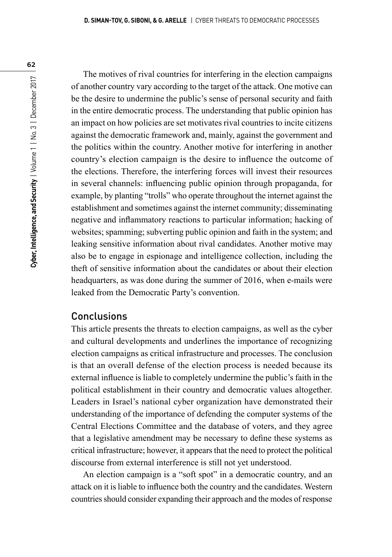The motives of rival countries for interfering in the election campaigns of another country vary according to the target of the attack. One motive can be the desire to undermine the public's sense of personal security and faith in the entire democratic process. The understanding that public opinion has an impact on how policies are set motivates rival countries to incite citizens against the democratic framework and, mainly, against the government and the politics within the country. Another motive for interfering in another country's election campaign is the desire to influence the outcome of the elections. Therefore, the interfering forces will invest their resources in several channels: influencing public opinion through propaganda, for example, by planting "trolls" who operate throughout the internet against the establishment and sometimes against the internet community; disseminating negative and inflammatory reactions to particular information; hacking of websites; spamming; subverting public opinion and faith in the system; and leaking sensitive information about rival candidates. Another motive may also be to engage in espionage and intelligence collection, including the theft of sensitive information about the candidates or about their election headquarters, as was done during the summer of 2016, when e-mails were leaked from the Democratic Party's convention.

# **Conclusions**

This article presents the threats to election campaigns, as well as the cyber and cultural developments and underlines the importance of recognizing election campaigns as critical infrastructure and processes. The conclusion is that an overall defense of the election process is needed because its external influence is liable to completely undermine the public's faith in the political establishment in their country and democratic values altogether. Leaders in Israel's national cyber organization have demonstrated their understanding of the importance of defending the computer systems of the Central Elections Committee and the database of voters, and they agree that a legislative amendment may be necessary to define these systems as critical infrastructure; however, it appears that the need to protect the political discourse from external interference is still not yet understood.

An election campaign is a "soft spot" in a democratic country, and an attack on it is liable to influence both the country and the candidates. Western countries should consider expanding their approach and the modes of response